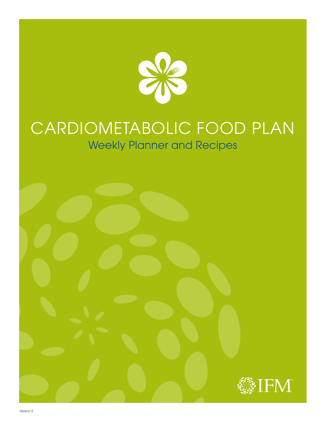

# CARDIOMETABOLIC FOOD PLAN Weekly Planner and Recipes

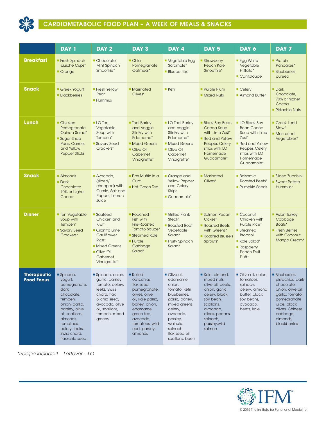

## CARDIOMETABOLIC FOOD PLAN – A WEEK OF MEALS & SNACKS

|                                         | <b>DAY 1</b>                                                                                                                                                                                             | DAY <sub>2</sub>                                                                                                                                                       | DAY <sub>3</sub>                                                                                                                                                                                | DAY 4                                                                                                                                                                                                  | DAY <sub>5</sub>                                                                                                                                                                      | DAY 6                                                                                                                                               | DAY <sub>7</sub>                                                                                                                                                                       |
|-----------------------------------------|----------------------------------------------------------------------------------------------------------------------------------------------------------------------------------------------------------|------------------------------------------------------------------------------------------------------------------------------------------------------------------------|-------------------------------------------------------------------------------------------------------------------------------------------------------------------------------------------------|--------------------------------------------------------------------------------------------------------------------------------------------------------------------------------------------------------|---------------------------------------------------------------------------------------------------------------------------------------------------------------------------------------|-----------------------------------------------------------------------------------------------------------------------------------------------------|----------------------------------------------------------------------------------------------------------------------------------------------------------------------------------------|
| <b>Breakfast</b>                        | <b>Fresh Spinach</b><br>Quiche Cups*<br>Orange                                                                                                                                                           | Chocolate<br>Mint Spinach<br>Smoothie*                                                                                                                                 | $\blacksquare$ Chia<br>Pomegranate<br>Oatmeal*                                                                                                                                                  | Vegetable Egg<br>Scramble*<br><b>Blueberries</b>                                                                                                                                                       | Strawberry<br>Peach Kale<br>Smoothie*                                                                                                                                                 | <b>Egg White</b><br>Vegetable<br>Frittata*<br>Cantaloupe                                                                                            | $\blacksquare$ Protein<br>Pancakes*<br><b>Blueberries</b><br>pureed                                                                                                                    |
| <b>Snack</b>                            | Greek Yogurt<br><b>Blackberries</b>                                                                                                                                                                      | <b>Fresh Yellow</b><br>Pear<br><b>Hummus</b>                                                                                                                           | <b>Marinated</b><br>Olives*                                                                                                                                                                     | Kefir                                                                                                                                                                                                  | <b>Purple Plum</b><br>• Mixed Nuts                                                                                                                                                    | ■ Celery<br>Almond Butter                                                                                                                           | $\blacksquare$ Dark<br>Chocolate,<br>70% or higher<br>Cocoa<br><b>Pistachio Nuts</b>                                                                                                   |
| <b>Lunch</b>                            | ■ Chicken<br>Pomegranate<br>Quinoa Salad*<br>■ Sugar-Snap<br>Peas, Carrots,<br>and Yellow<br><b>Pepper Sticks</b>                                                                                        | $\blacksquare$ LO Ten<br>Vegetable<br>Soup with<br>Tempeh*<br>Savory Seed<br>Crackers*                                                                                 | <b>Thai Barley</b><br>and Veggie<br>Stir-Fry with<br>Edamame*<br><b>Mixed Greens</b><br>Olive Oil<br>Cabernet<br>Vinaigrette*                                                                   | <b>LO Thai Barley</b><br>and Veggie<br>Stir-Fry with<br>Edamame*<br><b>Mixed Greens</b><br>Olive Oil<br>Cabernet<br>Vinaigrette*                                                                       | <b>Black Soy Bean</b><br>Cocoa Soup<br>with Lime Zest*<br>Red and Yellow<br>Pepper, Celery<br>strips with LO<br>Homemade<br>Guacamole*                                                | <b>LO Black Soy</b><br><b>Bean Cocoa</b><br>Soup with Lime<br>Zest*<br>Red and Yellow<br>Pepper, Celery<br>strips with LO<br>Homemade<br>Guacamole* | Greek Lentil<br>Stew*<br>• Marinated<br>Vegetables*                                                                                                                                    |
| <b>Snack</b>                            | • Almonds<br>$\blacksquare$ Dark<br>Chocolate;<br>70% or higher<br>Cocoa                                                                                                                                 | Avocado,<br>(sliced/<br>chopped) with<br>Cumin, Salt and<br>Pepper, Lemon<br>Juice                                                                                     | • Flax Muffin in a<br>$Cup*$<br><b>Hot Green Tea</b>                                                                                                                                            | Orange and<br><b>Yellow Pepper</b><br>and Celery<br><b>Strips</b><br>Guacamole*                                                                                                                        | <b>Marinated</b><br>Olives*                                                                                                                                                           | <b>Balsamic</b><br><b>Roasted Beets*</b><br><b>Pumpkin Seeds</b>                                                                                    | Sliced Zucchini<br>Sweet Potato<br>Hummus*                                                                                                                                             |
| <b>Dinner</b>                           | <b>Ten Vegetable</b><br>Soup with<br>Tempeh*<br>Savory Seed<br>Crackers*                                                                                                                                 | Sautéed<br>Chicken and<br>Kiwi*<br>Cilantro Lime<br>Cauliflower<br>Rice*<br><b>Mixed Greens</b><br>Olive Oil<br>Cabernet<br>Vinaigrette*                               | • Poached<br>Fish with<br><b>Fire-Roasted</b><br>Tomato Sauce*<br>Steamed Kale<br><b>Purple</b><br>Cabbage<br>Salad*                                                                            | Grilled Flank<br>Steak*<br>Roasted Root<br>Vegetable<br>Salad*<br><b>Fruity Spinach</b><br>Salad*                                                                                                      | Salmon Pecan<br>Cakes*<br>Roasted Beets<br>with Greens*<br>Roasted Brussels<br>Sprouts*                                                                                               | Coconut<br>Chicken with<br>Purple Rice*<br>■ Steamed<br><b>Broccoli</b><br>Kale Salad*<br>• Raspberry<br>Peach Fruit<br>Fluff*                      | Asian Turkey<br>Cabbage<br>Boats*<br><b>Fresh Berries</b><br>with Coconut<br>Mango Cream*                                                                                              |
| <b>Therapeutic</b><br><b>Food Focus</b> | Spinach,<br>yogurt,<br>pomegranate,<br>dark<br>chocolate,<br>tempeh,<br>onion, garlic,<br>parsley, olive<br>oil, scallions,<br>almonds,<br>tomatoes,<br>celery, leeks,<br>Swiss chard,<br>flax/chia seed | Spinach, onion,<br>garlic, parsley,<br>tomato, celery,<br>leeks, Swiss<br>chard, flax<br>& chia seed,<br>avocado, olive<br>oil, scallions,<br>tempeh, mixed<br>greens, | Rolled<br>oats, chia/<br>flax seed,<br>pomegranate,<br>olives, olive<br>oil, kale garlic,<br>barley, onion,<br>edamame,<br>green tea,<br>avocado,<br>tomatoes, wild<br>cod, parsley,<br>almonds | Olive oil,<br>edamame,<br>onion,<br>tomato, kefir,<br>blueberries,<br>garlic, barley,<br>mixed greens<br>celery,<br>avocado,<br>parsley,<br>walnuts,<br>spinach,<br>flax seed oil,<br>scallions, beets | Kale, almond,<br>mixed nuts,<br>olive oil, beets,<br>onion, garlic,<br>celery, black<br>soy bean,<br>scallions,<br>avocado,<br>olives, pecans,<br>spinach,<br>parsley, wild<br>salmon | Olive oil, onion,<br>tomatoes,<br>spinach,<br>celery, almond<br>butter, black<br>soy beans,<br>avocado,<br>beets, kale                              | <b>Blueberries</b><br>pistachios, dark<br>chocolate,<br>onion, olive oil,<br>garlic, tomato,<br>pomegranate<br>juice, black<br>olives, Chinese<br>cabbage,<br>almonds,<br>blackberries |

*\*Recipe included Leftover – LO*

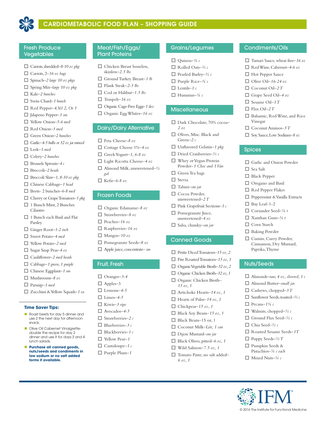

## CARDIOMETABOLIC FOOD PLAN – SHOPPING GUIDE

### Fresh Produce Vegetables

- □ Carrots, shredded-8-10 oz pkg
- □ Carrots, 2–16 oz bags
- □ Spinach–2 large 10 oz pkgs
- o Spring Mix*–large 10 oz pkg*
- □ Kale-2 bunches
- □ Swiss Chard-1 bunch
- $\Box$  Red Pepper-4, Yel 2, Or 1
- □ Jalapeno Pepper-1 sm
- □ Yellow Onion-5-6 med
- □ Red Onion–3 med
- □ Green Onion–2 bunches
- □ Garlic-4-5 bulbs or 32 oz jar minced
- □ Leek-1 med
- □ Celery-2 bunches
- o Brussels Sprouts*–4 c*
- □ Broccoli-2 heads
- $\Box$  Broccoli Slaw-1, 8-10 oz pkg
- □ Chinese Cabbage–1 head
- □ Beets- 2 bunches-6-8 med
- □ Cherry or Grape Tomatoes-1 pkg
- $\Box$  1 Bunch Mint, 2 Bunches Cilantro
- $\Box$  1 Bunch each Basil and Flat Parsley
- □ Ginger Root-1-2 inch
- □ Sweet Potato-4 med
- □ Yellow Potato-2 med
- □ Sugar Snap Peas-4 oz
- □ Cauliflower-2 med heads
- □ Cabbage-1 green, 1 purple
- □ Chinese Eggplant-1 sm
- o Mushrooms*–8 oz*
- □ Parsnip-1 med
- □ Zucchini & Yellow Squash-1 ea

#### **Time Saver Tips:**

- **n** Roast beets for day 5 dinner and use 2 the next day for afternoon snack.
- **n** Olive Oil Cabernet Vinaigrettedouble the recipe for day 2 dinner and use it for days 3 and 4 lunch salads.
- **n** Purchase all canned goods, **nuts/seeds and condiments in low sodium or no salt added forms if available.**

### Meat/Fish/Eggs/ Plant Proteins

- $\Box$  Chicken Breast boneless, skinless*–2.5 lbs*
- □ Ground Turkey Breast-1 *lb*
- □ Flank Steak-2-3 lbs
- □ Cod or Halibut-1.5 lbs
- $\Box$  Tempeh–16 oz
- □ Organic Cage-Free Eggs-1 doz
- □ Organic Egg Whites-16 oz

#### Dairy/Dairy Alternative

- o Feta Cheese*–8 oz*
- □ Cottage Cheese 1%–4 oz
- o Greek Yogurt*–1, 6-8 oz*
- □ Light Ricotta Cheese-4 oz
- □ Almond Milk, unsweetened-½
- o Kefir*–6-8 oz*

*gal*

### Frozen Foods

- □ Organic Edamame-8 oz
- o Strawberries*–8 oz*
- o Peaches*–16 oz*
- o Raspberries*–16 oz*
- $\Box$  Mangos-10 oz
- □ Pomegranate Seeds-8 oz
- □ Apple juice, concentrate– sm

### Fruit, Fresh

- $\Box$  Oranges-3-4
- $\Box$  Apples–3
- $\Box$  Lemons-4-5
- $\square$  Limes-4-5
- □ Kiwis-3 ripe
- □ Avocados-4-5
- o Strawberries*–2 c*
- o Blueberries*–3 c*
- o Blackberries*–1 c*
- □ Yellow Pear-1
- $\Box$  Cantaloupe–1  $c$
- □ Purple Plum-1

### Grains/Legumes

Condiments/Oils

 $\Box$  Hot Pepper Sauce  $\Box$  Olive Oil–16-24 oz □ Coconut Oil-2 T o Grape Seed Oil*–4 oz* □ Sesame Oil–1 T  $\Box$  Flax Oil–2 T

Vinegar

Spices

 $\square$  Sea Salt  $\Box$  Black Pepper  $\Box$  Oregano and Basil  $\Box$  Red Pepper Flakes

 $\Box$  Bay Leaf-1-2 o Coriander Seed*–¼ t* o Xanthan Gum*–¼ t*  $\square$  Corn Starch  $\Box$  Baking Powder  $\Box$  Cumin, Curry Powder, Cinnamon, Dry Mustard, Paprika, Thyme

Nuts/Seeds

 $\Box$  Pecans–1<sup>3</sup>/4 c

o Walnuts, chopped*–½ c*  $\Box$  Ground Flax Seed-½ c o Chia Seed*–½ c*

□ Roasted Sesame Seeds-1T  $\Box$  Poppy Seeds– $\frac{1}{2}$  T  $\square$  Pumpkin Seeds & Pistachios*–¼ c each* o Mixed Nuts*–¼ c*

□ Tamari Sauce, wheat free–16 oz o Red Wine, Cabernet*–4-6 oz*

 $\Box$  Balsamic, Red Wine, and Rice

 $\Box$  Coconut Aminos-5 T □ Soy Sauce, Low Sodium-8 oz

 $\Box$  Garlic and Onion Powder

 $\Box$  Peppermint & Vanilla Extracts

□ Almonds–raw, 4 oz, slivered, 1 c □ Almond Butter-small jar  $\Box$  Cashews, chopped–3 T o Sunflower Seeds, toasted*–⅔ c*

- o Quinoa*–¾ c*
- o Rolled Oats*–⅔ c*
- o Pearled Barley*–½ c*
- o Purple Rice*–¾ c*
- $\Box$  Lentils–1 c
- $\Box$  Hummus- $\frac{1}{4}c$

### **Miscellaneous**

- □ Dark Chocolate, 70% cocoa-*2 oz*
- $\Box$  Olives, Misc. Black and Green*–2 c*
- □ Unflavored Gelatin-1 pkg
- o Dried Cranberries*–⅓ c*
- $\Box$  Whey or Vegan Protein Powder*–1 Choc and 1 Van*
- $\Box$  Green Tea bags
- $\Box$  Stevia
- o Tahini*–sm jar*
- $\Box$  Cocoa Powder, unsweetened*–2 T*
- □ Pink Grapefruit Sections–1 c
- $\hfill\Box$  Pomegranate Juice, unsweetened*–4 oz*
- o Salsa, chunky*–sm jar*

### Canned Goods

*15 oz, 1*

*6 oz, 1*

- □ Petite Diced Tomatoes-15 oz, 2
- $\Box$  Fire Roasted Tomatoes–15 oz, 1
- $\Box$  Organic Vegetable Broth–32 oz, 2
- □ Organic Chicken Broth–32 oz, 1 □ Organic Chicken Broth–

□ Artichoke Hearts–14 oz, 1  $\Box$  Hearts of Palm-14 oz, 1  $\Box$  Chickpeas-15 oz, 1  $\Box$  Black Soy Beans-15 oz, 1  $\Box$  Black Beans–15 oz, 1 □ Coconut Milk–Lite, 1 can □ Dijon Mustard-sm jar  $\Box$  Black Olives, pitted–6 oz, 1  $\Box$  Wild Salmon–7.5 oz, 1 □ Tomato Paste, no salt added-

© 2016 The Institute for Functional Medicine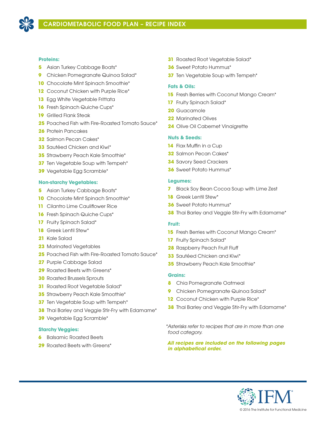

### **Proteins:**

- Asian Turkey Cabbage Boats\*
- Chicken Pomegranate Quinoa Salad\*
- Chocolate Mint Spinach Smoothie\*
- Coconut Chicken with Purple Rice\*
- Egg White Vegetable Frittata
- Fresh Spinach Quiche Cups\*
- Grilled Flank Steak
- Poached Fish with Fire-Roasted Tomato Sauce\*
- Protein Pancakes
- Salmon Pecan Cakes\*
- Sautéed Chicken and Kiwi\*
- Strawberry Peach Kale Smoothie\*
- **37** Ten Vegetable Soup with Tempeh<sup>\*</sup>
- Vegetable Egg Scramble\*

### **Non-starchy Vegetables:**

- Asian Turkey Cabbage Boats\*
- **10** Chocolate Mint Spinach Smoothie<sup>\*</sup>
- Cilantro Lime Cauliflower Rice
- **16** Fresh Spinach Quiche Cups<sup>\*</sup>
- 17 Fruity Spinach Salad\*
- Greek Lentil Stew\*
- Kale Salad
- Marinated Vegetables
- Poached Fish with Fire-Roasted Tomato Sauce\*
- Purple Cabbage Salad
- Roasted Beets with Greens\*
- Roasted Brussels Sprouts
- Roasted Root Vegetable Salad\*
- Strawberry Peach Kale Smoothie\*
- **37** Ten Vegetable Soup with Tempeh<sup>\*</sup>
- Thai Barley and Veggie Stir-Fry with Edamame\*
- Vegetable Egg Scramble\*

### **Starchy Veggies:**

- Balsamic Roasted Beets
- Roasted Beets with Greens\*
- Roasted Root Vegetable Salad\*
- Sweet Potato Hummus\*
- **37** Ten Vegetable Soup with Tempeh<sup>\*</sup>

### **Fats & Oils:**

- Fresh Berries with Coconut Mango Cream\*
- Fruity Spinach Salad\*
- Guacamole
- Marinated Olives
- Olive Oil Cabernet Vinaigrette

### **Nuts & Seeds:**

- Flax Muffin in a Cup
- Salmon Pecan Cakes\*
- Savory Seed Crackers
- Sweet Potato Hummus\*

### **Legumes:**

- Black Soy Bean Cocoa Soup with Lime Zest
- Greek Lentil Stew\*
- Sweet Potato Hummus\*
- Thai Barley and Veggie Stir-Fry with Edamame\*

### **Fruit:**

- **15** Fresh Berries with Coconut Mango Cream<sup>\*</sup>
- Fruity Spinach Salad\*
- Raspberry Peach Fruit Fluff
- Sautéed Chicken and Kiwi\*
- Strawberry Peach Kale Smoothie\*

### **Grains:**

- Chia Pomegranate Oatmeal
- Chicken Pomegranate Quinoa Salad\*
- 12 Coconut Chicken with Purple Rice\*
- Thai Barley and Veggie Stir-Fry with Edamame\*

*\*Asterisks refer to recipes that are in more than one food category.* 

*All recipes are included on the following pages in alphabetical order.*

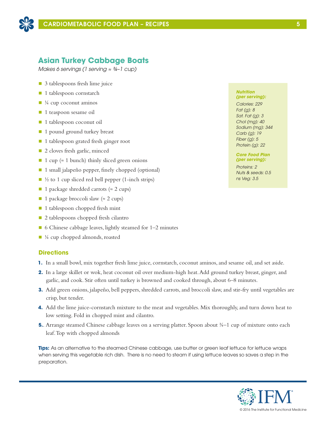

## **Asian Turkey Cabbage Boats**

*Makes 6 servings (1 serving ≈ ¾–1 cup)*

- $\Box$  3 tablespoons fresh lime juice
- 1 tablespoon cornstarch
- $\blacksquare$  ¼ cup coconut aminos
- 1 teaspoon sesame oil
- 1 tablespoon coconut oil
- 1 pound ground turkey breast
- 1 tablespoon grated fresh ginger root
- 2 cloves fresh garlic, minced
- 1 cup ( $\approx$  1 bunch) thinly sliced green onions
- 1 small jalapeño pepper, finely chopped (optional)
- $\Box$  ½ to 1 cup sliced red bell pepper (1-inch strips)
- 1 package shredded carrots (≈ 2 cups)
- 1 package broccoli slaw (≈ 2 cups)
- $\blacksquare$  1 tablespoon chopped fresh mint
- 2 tablespoons chopped fresh cilantro
- 6 Chinese cabbage leaves, lightly steamed for 1–2 minutes
- ¼ cup chopped almonds, roasted

### **Directions**

- **1.** In a small bowl, mix together fresh lime juice, cornstarch, coconut aminos, and sesame oil, and set aside.
- **2.** In a large skillet or wok, heat coconut oil over medium-high heat. Add ground turkey breast, ginger, and garlic, and cook. Stir often until turkey is browned and cooked through, about 6–8 minutes.
- **3.** Add green onions, jalapeño, bell peppers, shredded carrots, and broccoli slaw, and stir-fry until vegetables are crisp, but tender.
- **4.** Add the lime juice-cornstarch mixture to the meat and vegetables. Mix thoroughly, and turn down heat to low setting. Fold in chopped mint and cilantro.
- **5.**. Arrange steamed Chinese cabbage leaves on a serving platter. Spoon about ¾–1 cup of mixture onto each leaf. Top with chopped almonds

**Tips:** As an alternative to the steamed Chinese cabbage, use butter or green leaf lettuce for lettuce wraps when serving this vegetable rich dish. There is no need to steam if using lettuce leaves so saves a step in the preparation.

#### *Nutrition (per serving):*

*Calories: 229 Fat (g): 8 Sat. Fat (g): 3 Chol (mg): 40 Sodium (mg): 344 Carb (g): 19 Fiber (g): 5 Protein (g): 22*

*Core Food Plan (per serving):*

*Proteins: 2 Nuts & seeds: 0.5 ns Veg: 3.5*

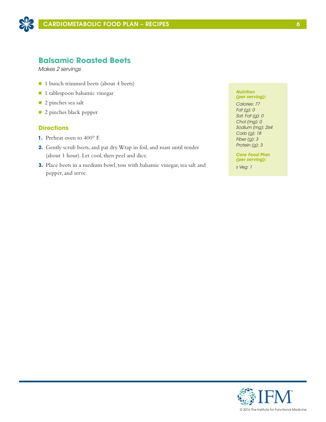

## **Balsamic Roasted Beets**

*Makes 2 servings*

- 1 bunch trimmed beets (about 4 beets)
- n 1 tablespoon balsamic vinegar
- 2 pinches sea salt
- **n** 2 pinches black pepper

### **Directions**

- **1.** Preheat oven to 400° F.
- **2.** Gently scrub beets, and pat dry. Wrap in foil, and roast until tender (about 1 hour). Let cool, then peel and dice.
- **3.** Place beets in a medium bowl, toss with balsamic vinegar, sea salt and pepper, and serve.

#### *Nutrition (per serving):*

*Calories: 77 Fat (g): 0 Sat. Fat (g): 0 Chol (mg): 0 Sodium (mg): 264 Carb (g): 18 Fiber (g): 3 Protein (g): 3*

*Core Food Plan (per serving):*

*s Veg: 1*

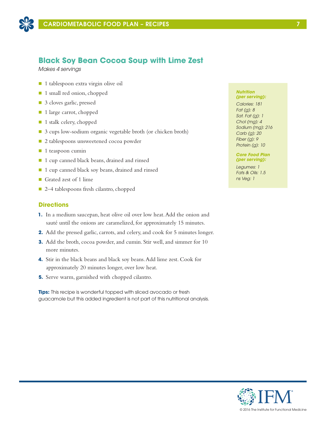

## **Black Soy Bean Cocoa Soup with Lime Zest**

*Makes 4 servings*

- 1 tablespoon extra virgin olive oil
- 1 small red onion, chopped
- 3 cloves garlic, pressed
- 1 large carrot, chopped
- 1 stalk celery, chopped
- 3 cups low-sodium organic vegetable broth (or chicken broth)
- 2 tablespoons unsweetened cocoa powder
- $\blacksquare$  1 teaspoon cumin
- 1 cup canned black beans, drained and rinsed
- 1 cup canned black soy beans, drained and rinsed
- Grated zest of 1 lime
- 2–4 tablespoons fresh cilantro, chopped

### **Directions**

- **1.** In a medium saucepan, heat olive oil over low heat. Add the onion and sauté until the onions are caramelized, for approximately 15 minutes.
- **2.** Add the pressed garlic, carrots, and celery, and cook for 5 minutes longer.
- **3.** Add the broth, cocoa powder, and cumin. Stir well, and simmer for 10 more minutes.
- **4.** Stir in the black beans and black soy beans. Add lime zest. Cook for approximately 20 minutes longer, over low heat.
- **5.** Serve warm, garnished with chopped cilantro.

**Tips:** This recipe is wonderful topped with sliced avocado or fresh guacamole but this added ingredient is not part of this nutritional analysis.

#### *Nutrition (per serving):*

*Calories: 181 Fat (g): 8 Sat. Fat (g): 1 Chol (mg): 4 Sodium (mg): 216 Carb (g): 20 Fiber (g): 9 Protein (g): 10*

### *Core Food Plan (per serving):*

*Legumes: 1 Fats & Oils: 1.5 ns Veg: 1*

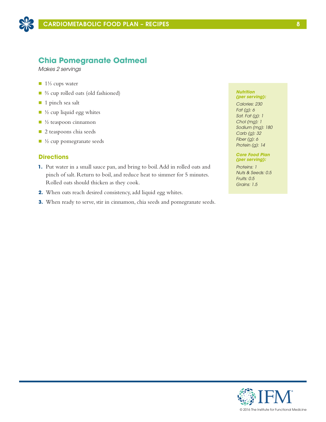

## **Chia Pomegranate Oatmeal**

*Makes 2 servings*

- $\blacksquare$  1<sup>1</sup>⁄<sub>3</sub> cups water
- ⅔ cup rolled oats (old fashioned)
- 1 pinch sea salt
- $\blacksquare$  ½ cup liquid egg whites
- $\blacksquare$  ½ teaspoon cinnamon
- **n** 2 teaspoons chia seeds
- $\blacksquare$  ½ cup pomegranate seeds

### **Directions**

- **1.** Put water in a small sauce pan, and bring to boil. Add in rolled oats and pinch of salt. Return to boil, and reduce heat to simmer for 5 minutes. Rolled oats should thicken as they cook.
- **2.** When oats reach desired consistency, add liquid egg whites.
- **3.** When ready to serve, stir in cinnamon, chia seeds and pomegranate seeds.

#### *Nutrition (per serving):*

*Calories: 230 Fat (g): 6 Sat. Fat (g): 1 Chol (mg): 1 Sodium (mg): 180 Carb (g): 32 Fiber (g): 6 Protein (g): 14*

### *Core Food Plan (per serving):*

*Proteins: 1 Nuts & Seeds: 0.5 Fruits: 0.5 Grains: 1.5*

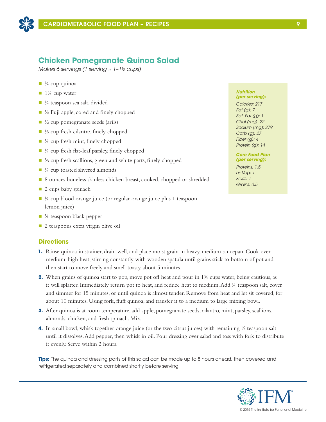

## **Chicken Pomegranate Quinoa Salad**

*Makes 6 servings (1 serving ≈ 1–1½ cups)*

- $\blacksquare$   $\frac{3}{4}$  cup quinoa
- $\blacksquare$  1<sup>3</sup>/<sub>4</sub> cup water
- $\blacksquare$   $\frac{3}{4}$  teaspoon sea salt, divided
- $\blacksquare$  ½ Fuji apple, cored and finely chopped
- $\Box$  ½ cup pomegranate seeds (arils)
- ⅓ cup fresh cilantro, finely chopped
- $\blacksquare$  ¼ cup fresh mint, finely chopped
- $\blacksquare$  ¼ cup fresh flat-leaf parsley, finely chopped
- ⅓ cup fresh scallions, green and white parts, finely chopped
- $\blacksquare$  ¼ cup toasted slivered almonds
- 8 ounces boneless skinless chicken breast, cooked, chopped or shredded
- $\Box$  2 cups baby spinach
- $\blacksquare$  ¼ cup blood orange juice (or regular orange juice plus 1 teaspoon lemon juice)
- $\blacksquare$  ¼ teaspoon black pepper
- $\Box$  2 teaspoons extra virgin olive oil

### **Directions**

- **1.** Rinse quinoa in strainer, drain well, and place moist grain in heavy, medium saucepan. Cook over medium-high heat, stirring constantly with wooden spatula until grains stick to bottom of pot and then start to move freely and smell toasty, about 5 minutes.
- **2.** When grains of quinoa start to pop, move pot off heat and pour in 1<sup>3</sup>/<sub>2</sub> cups water, being cautious, as it will splatter. Immediately return pot to heat, and reduce heat to medium. Add ¼ teaspoon salt, cover and simmer for 15 minutes, or until quinoa is almost tender. Remove from heat and let sit covered, for about 10 minutes. Using fork, fluff quinoa, and transfer it to a medium to large mixing bowl.
- **3.** After quinoa is at room temperature, add apple, pomegranate seeds, cilantro, mint, parsley, scallions, almonds, chicken, and fresh spinach. Mix.
- **4.** In small bowl, whisk together orange juice (or the two citrus juices) with remaining  $\frac{1}{2}$  teaspoon salt until it dissolves. Add pepper, then whisk in oil. Pour dressing over salad and toss with fork to distribute it evenly. Serve within 2 hours.

**Tips:** The quinoa and dressing parts of this salad can be made up to 8 hours ahead, then covered and refrigerated separately and combined shortly before serving.

#### *Nutrition (per serving):*

*Calories: 217 Fat (g): 7 Sat. Fat (g): 1 Chol (mg): 22 Sodium (mg): 279 Carb (g): 27 Fiber (g): 4 Protein (g): 14*

#### *Core Food Plan (per serving):*

*Proteins: 1.5 ns Veg: 1 Fruits: 1 Grains: 0.5*

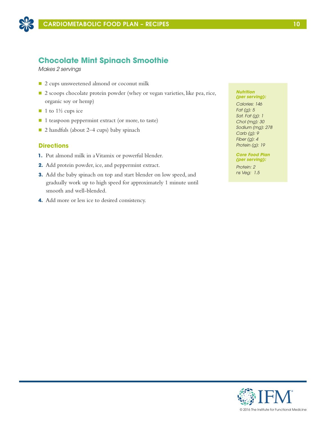

## **Chocolate Mint Spinach Smoothie**

*Makes 2 servings*

- 2 cups unsweetened almond or coconut milk
- 2 scoops chocolate protein powder (whey or vegan varieties, like pea, rice, organic soy or hemp)
- $\blacksquare$  1 to 1½ cups ice
- 1 teaspoon peppermint extract (or more, to taste)
- 2 handfuls (about 2–4 cups) baby spinach

### **Directions**

- **1.** Put almond milk in a Vitamix or powerful blender.
- **2.** Add protein powder, ice, and peppermint extract.
- **3.** Add the baby spinach on top and start blender on low speed, and gradually work up to high speed for approximately 1 minute until smooth and well-blended.
- **4.** Add more or less ice to desired consistency.

#### *Nutrition (per serving):*

*Calories: 146 Fat (g): 5 Sat. Fat (g): 1 Chol (mg): 30 Sodium (mg): 278 Carb (g): 9 Fiber (g): 4 Protein (g): 19*

*Core Food Plan (per serving):*

*Protein: 2 ns Veg: 1.5*

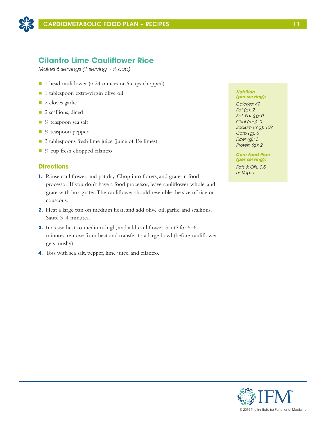

## **Cilantro Lime Cauliflower Rice**

*Makes 6 servings (1 serving ≈ ½ cup)*

- 1 head cauliflower (≈ 24 ounces or 6 cups chopped)
- n 1 tablespoon extra-virgin olive oil
- $\blacksquare$  2 cloves garlic
- **n** 2 scallions, diced
- $\blacksquare$  ¼ teaspoon sea salt
- $\blacksquare$  ¼ teaspoon pepper
- $\Box$  3 tablespoons fresh lime juice (juice of 1½ limes)
- $\blacksquare$  ¼ cup fresh chopped cilantro

## **Directions**

- **1.** Rinse cauliflower, and pat dry. Chop into florets, and grate in food processor. If you don't have a food processor, leave cauliflower whole, and grate with box grater. The cauliflower should resemble the size of rice or couscous.
- **2.** Heat a large pan on medium heat, and add olive oil, garlic, and scallions. Sauté 3–4 minutes.
- **3.** Increase heat to medium-high, and add cauliflower. Sauté for 5–6 minutes; remove from heat and transfer to a large bowl (before cauliflower gets mushy).
- **4.** Toss with sea salt, pepper, lime juice, and cilantro.

#### *Nutrition (per serving):*

*Calories: 49 Fat (g): 2 Sat. Fat (g): 0 Chol (mg): 0 Sodium (mg): 109 Carb (g): 6 Fiber (g): 3 Protein (g): 2*

*Core Food Plan (per serving):*

*Fats & Oils: 0.5 ns Veg: 1*

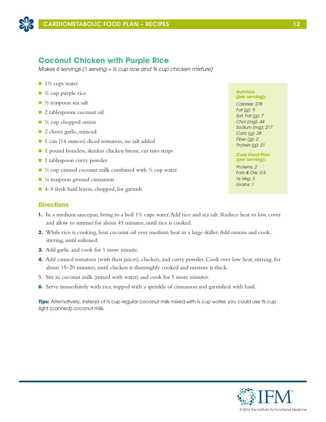

## **Coconut Chicken with Purple Rice**

*Makes 6 servings (1 serving ≈ ⅓ cup rice and ¾ cup chicken mixture)*

- $\blacksquare$  1½ cups water
- $\blacksquare$   $\frac{3}{4}$  cup purple rice
- $\blacksquare$  ½ teaspoon sea salt
- 2 tablespoons coconut oil
- $\blacksquare$  ½ cup chopped onion
- 2 cloves garlic, minced
- 1 can (14 ounces) diced tomatoes, no salt added
- 1 pound boneless, skinless chicken breast, cut into strips
- 1 tablespoon curry powder
- <sup>1</sup>/<sub>3</sub> cup canned coconut milk combined with <sup>1</sup>/<sub>3</sub> cup water
- $\blacksquare$  <sup>1</sup>/<sub>8</sub> teaspoon ground cinnamon
- $\blacksquare$  4–5 fresh basil leaves, chopped, for garnish

## **Directions**

- **1.** In a medium saucepan, bring to a boil 1½ cups water. Add rice and sea salt. Reduce heat to low, cover and allow to simmer for about 45 minutes, until rice is cooked.
- **2.** While rice is cooking, heat coconut oil over medium heat in a large skillet. Add onions and cook, stirring, until softened.
- **3.** Add garlic and cook for 1 more minute.
- **4.** Add canned tomatoes (with their juices), chicken, and curry powder. Cook over low heat, stirring, for about 15–20 minutes, until chicken is thoroughly cooked and mixture is thick.
- 5. Stir in coconut milk (mixed with water) and cook for 5 more minutes.
- **6.** Serve immediately with rice, topped with a sprinkle of cinnamon and garnished with basil.

**Tips:** Alternatively, instead of ⅓ cup regular coconut milk mixed with ⅓ cup water, you could use ⅔ cup light (canned) coconut milk.

#### *Nutrition (per serving):*

*Calories: 278 Fat (g): 9 Sat. Fat (g): 7 Chol (mg): 44 Sodium (mg): 217 Carb (g): 28 Fiber (g): 2 Protein (g): 21*

### *Core Food Plan (per serving):*

*Proteins: 2 Fats & Oils: 0.5 ns Veg: 3 Grains: 1*

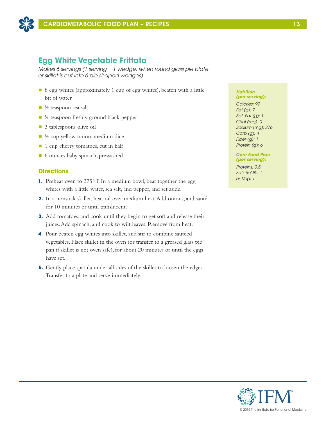

## **Egg White Vegetable Frittata**

*Makes 6 servings (1 serving = 1 wedge, when round glass pie plate or skillet is cut into 6 pie shaped wedges)*

- 8 egg whites (approximately 1 cup of egg whites), beaten with a little bit of water
- $\blacksquare$  ½ teaspoon sea salt
- $\blacksquare$  ¼ teaspoon freshly ground black pepper
- 3 tablespoons olive oil
- $\blacksquare$  ½ cup yellow onion, medium dice
- 1 cup cherry tomatoes, cut in half
- 6 ounces baby spinach, prewashed

### **Directions**

- **1.** Preheat oven to 375° F. In a medium bowl, beat together the egg whites with a little water, sea salt, and pepper, and set aside.
- **2.** In a nonstick skillet, heat oil over medium heat. Add onions, and sauté for 10 minutes or until translucent.
- **3.** Add tomatoes, and cook until they begin to get soft and release their juices. Add spinach, and cook to wilt leaves. Remove from heat.
- **4.** Pour beaten egg whites into skillet, and stir to combine sautéed vegetables. Place skillet in the oven (or transfer to a greased glass pie pan if skillet is not oven safe), for about 20 minutes or until the eggs have set.
- **5.** Gently place spatula under all sides of the skillet to loosen the edges. Transfer to a plate and serve immediately.

### *Nutrition*

*(per serving): Calories: 99 Fat (g): 7 Sat. Fat (g): 1 Chol (mg): 0 Sodium (mg): 276 Carb (g): 4 Fiber (g): 1 Protein (g): 6*

### *Core Food Plan (per serving):*

*Proteins: 0.5 Fats & Oils: 1 ns Veg: 1*

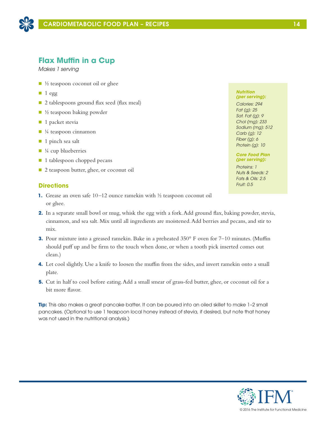

## **Flax Muffin in a Cup**

*Makes 1 serving*

- $\blacksquare$  ½ teaspoon coconut oil or ghee
- $\blacksquare$  1 egg
- 2 tablespoons ground flax seed (flax meal)
- $\blacksquare$  ½ teaspoon baking powder
- $\blacksquare$  1 packet stevia
- $\blacksquare$  ¼ teaspoon cinnamon
- $\blacksquare$  1 pinch sea salt
- $\blacksquare$  ¼ cup blueberries
- 1 tablespoon chopped pecans
- 2 teaspoon butter, ghee, or coconut oil

## **Directions**

- **1.** Grease an oven safe 10–12 ounce ramekin with ½ teaspoon coconut oil or ghee.
- **2.** In a separate small bowl or mug, whisk the egg with a fork. Add ground flax, baking powder, stevia, cinnamon, and sea salt. Mix until all ingredients are moistened. Add berries and pecans, and stir to mix.
- **3.** Pour mixture into a greased ramekin. Bake in a preheated 350° F oven for 7–10 minutes. (Muffin should puff up and be firm to the touch when done, or when a tooth pick inserted comes out clean.)
- **4.** Let cool slightly. Use a knife to loosen the muffin from the sides, and invert ramekin onto a small plate.
- **5.** Cut in half to cool before eating. Add a small smear of grass-fed butter, ghee, or coconut oil for a bit more flavor.

**Tip:** This also makes a great pancake batter. It can be poured into an oiled skillet to make 1–2 small pancakes. (Optional to use 1 teaspoon local honey instead of stevia, if desired, but note that honey was not used in the nutritional analysis.)

#### *Nutrition (per serving):*

*Calories: 294 Fat (g): 25 Sat. Fat (g): 9 Chol (mg): 233 Sodium (mg): 512 Carb (g): 12 Fiber (g): 6 Protein (g): 10*

### *Core Food Plan (per serving):*

*Proteins: 1 Nuts & Seeds: 2 Fats & Oils: 2.5 Fruit: 0.5*

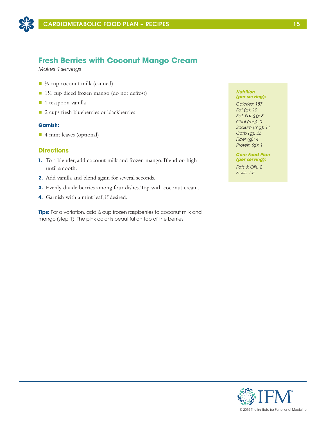

## **Fresh Berries with Coconut Mango Cream**

*Makes 4 servings*

- ⅔ cup coconut milk (canned)
- 1⅓ cup diced frozen mango (do not defrost)
- $\blacksquare$  1 teaspoon vanilla
- 2 cups fresh blueberries or blackberries

### **Garnish:**

■ 4 mint leaves (optional)

### **Directions**

- **1.** To a blender, add coconut milk and frozen mango. Blend on high until smooth.
- **2.** Add vanilla and blend again for several seconds.
- **3.** Evenly divide berries among four dishes. Top with coconut cream.
- **4.** Garnish with a mint leaf, if desired.

**Tips:** For a variation, add ⅓ cup frozen raspberries to coconut milk and mango (step 1). The pink color is beautiful on top of the berries.

#### *Nutrition (per serving):*

*Calories: 187 Fat (g): 10 Sat. Fat (g): 8 Chol (mg): 0 Sodium (mg): 11 Carb (g): 26 Fiber (g): 4 Protein (g): 1*

*Core Food Plan (per serving):*

*Fats & Oils: 2 Fruits: 1.5*

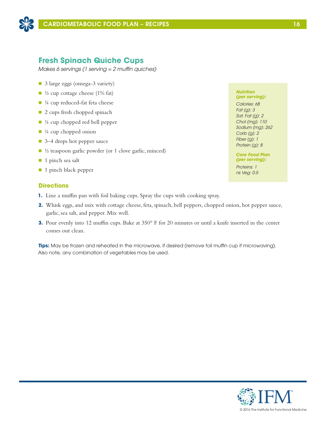

## **Fresh Spinach Quiche Cups**

*Makes 6 servings (1 serving = 2 muffin quiches)*

- 3 large eggs (omega-3 variety)
- $\blacksquare$  ½ cup cottage cheese (1% fat)
- $\blacksquare$  ¼ cup reduced-fat feta cheese
- 2 cups fresh chopped spinach
- $\blacksquare$  ¼ cup chopped red bell pepper
- $\blacksquare$  ¼ cup chopped onion
- 3–4 drops hot pepper sauce
- $\blacksquare$  ½ teaspoon garlic powder (or 1 clove garlic, minced)
- $\blacksquare$  1 pinch sea salt
- 1 pinch black pepper

## **Directions**

- **1.** Line a muffin pan with foil baking cups. Spray the cups with cooking spray.
- **2.** Whisk eggs, and mix with cottage cheese, feta, spinach, bell peppers, chopped onion, hot pepper sauce, garlic, sea salt, and pepper. Mix well.
- **3.** Pour evenly into 12 muffin cups. Bake at 350° F for 20 minutes or until a knife inserted in the center comes out clean.

**Tips:** May be frozen and reheated in the microwave, if desired (remove foil muffin cup if microwaving). Also note, any combination of vegetables may be used.

### *Nutrition (per serving):*

*Calories: 68 Fat (g): 3 Sat. Fat (g): 2 Chol (mg): 110 Sodium (mg): 262 Carb (g): 2 Fiber (g): 1 Protein (g): 8*

#### *Core Food Plan (per serving):*

*Proteins: 1 ns Veg: 0.5*

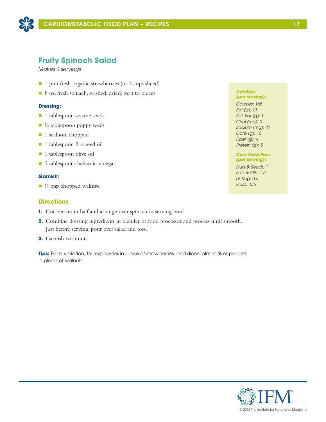

## **Fruity Spinach Salad**

*Makes 4 servings*

- 1 pint fresh organic strawberries (or 2 cups sliced)
- 8 oz. fresh spinach, washed, dried, torn to pieces

### **Dressing:**

- **n** 1 tablespoon sesame seeds
- $\blacksquare$  ½ tablespoon poppy seeds
- 1 scallion, chopped
- 1 tablespoon flax seed oil
- 1 tablespoon olive oil
- 2 tablespoons balsamic vinegar

### **Garnish:**

 $\blacksquare$  ¼ cup chopped walnuts

### **Directions**

- **1.** Cut berries in half and arrange over spinach in serving bowl.
- **2.** Combine dressing ingredients in blender or food processor and process until smooth. Just before serving, pour over salad and toss.
- **3.** Garnish with nuts.

**Tips:** For a variation, try raspberries in place of strawberries, and sliced almonds or pecans in place of walnuts.

#### *Nutrition (per serving):*

*Calories: 165 Fat (g): 13 Sat. Fat (g): 1 Chol (mg): 0 Sodium (mg): 47 Carb (g): 10 Fiber (g): 4 Protein (g): 5*

### *Core Food Plan (per serving):*

*Nuts & Seeds: 1 Fats & Oils: 1.5 ns Veg: 0.5 Fruits: 0.5*

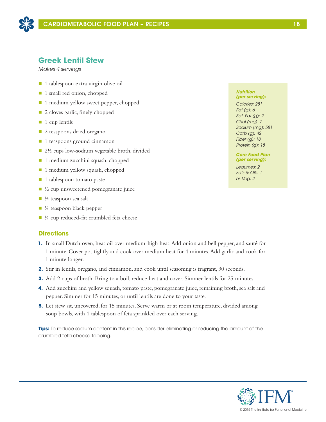

## **Greek Lentil Stew**

*Makes 4 servings*

- 1 tablespoon extra virgin olive oil
- 1 small red onion, chopped
- 1 medium yellow sweet pepper, chopped
- 2 cloves garlic, finely chopped
- $\blacksquare$  1 cup lentils
- 2 teaspoons dried oregano
- 1 teaspoons ground cinnamon
- 2½ cups low-sodium vegetable broth, divided
- 1 medium zucchini squash, chopped
- $\blacksquare$  1 medium yellow squash, chopped
- $\blacksquare$  1 tablespoon tomato paste
- $\blacksquare$  ½ cup unsweetened pomegranate juice
- $\blacksquare$  ½ teaspoon sea salt
- $\blacksquare$  ¼ teaspoon black pepper
- $\blacksquare$  ¼ cup reduced-fat crumbled feta cheese

### **Directions**

- **1.** In small Dutch oven, heat oil over medium-high heat. Add onion and bell pepper, and sauté for 1 minute. Cover pot tightly and cook over medium heat for 4 minutes. Add garlic and cook for 1 minute longer.
- **2.** Stir in lentils, oregano, and cinnamon, and cook until seasoning is fragrant, 30 seconds.
- **3.** Add 2 cups of broth. Bring to a boil, reduce heat and cover. Simmer lentils for 25 minutes.
- **4.** Add zucchini and yellow squash, tomato paste, pomegranate juice, remaining broth, sea salt and pepper. Simmer for 15 minutes, or until lentils are done to your taste.
- **5.** Let stew sit, uncovered, for 15 minutes. Serve warm or at room temperature, divided among soup bowls, with 1 tablespoon of feta sprinkled over each serving.

**Tips:** To reduce sodium content in this recipe, consider eliminating or reducing the amount of the crumbled feta cheese topping.

#### *Nutrition (per serving):*

*Calories: 281 Fat (g): 6 Sat. Fat (g): 2 Chol (mg): 7 Sodium (mg): 581 Carb (g): 42 Fiber (g): 18 Protein (g): 18*

*Core Food Plan (per serving):*

*Legumes: 2 Fats & Oils: 1 ns Veg: 2*

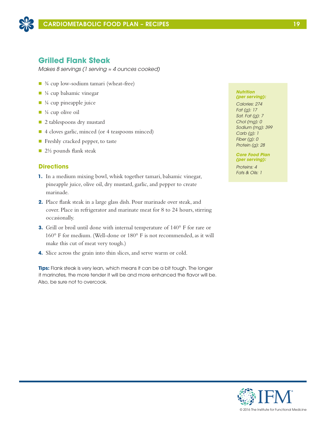

## **Grilled Flank Steak**

*Makes 8 servings (1 serving ≈ 4 ounces cooked)*

- ¾ cup low-sodium tamari (wheat-free)
- $\blacksquare$  ¼ cup balsamic vinegar
- $\blacksquare$  ¼ cup pineapple juice
- $\blacksquare$  ¼ cup olive oil
- 2 tablespoons dry mustard
- 4 cloves garlic, minced (or 4 teaspoons minced)
- $\blacksquare$  Freshly cracked pepper, to taste
- $\Box$  2½ pounds flank steak

## **Directions**

- **1.** In a medium mixing bowl, whisk together tamari, balsamic vinegar, pineapple juice, olive oil, dry mustard, garlic, and pepper to create marinade.
- **2.** Place flank steak in a large glass dish. Pour marinade over steak, and cover. Place in refrigerator and marinate meat for 8 to 24 hours, stirring occasionally.
- **3.** Grill or broil until done with internal temperature of 140° F for rare or 160° F for medium. (Well-done or 180° F is not recommended, as it will make this cut of meat very tough.)
- **4.** Slice across the grain into thin slices, and serve warm or cold.

**Tips:** Flank steak is very lean, which means it can be a bit tough. The longer it marinates, the more tender it will be and more enhanced the flavor will be. Also, be sure not to overcook.

### *Nutrition (per serving):*

*Calories: 274 Fat (g): 17 Sat. Fat (g): 7 Chol (mg): 0 Sodium (mg): 399 Carb (g): 1 Fiber (g): 0 Protein (g): 28*

*Core Food Plan (per serving):*

*Proteins: 4 Fats & Oils: 1*

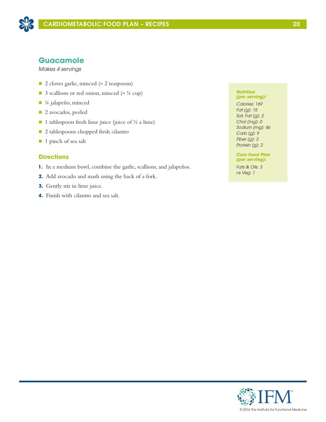

## **Guacamole**

*Makes 4 servings*

- 2 cloves garlic, minced (≈ 2 teaspoons)
- 3 scallions or red onion, minced ( $\approx$  ¼ cup)
- ¼ jalapeño, minced
- 2 avocados, peeled
- 1 tablespoon fresh lime juice (juice of  $\frac{1}{2}$  a lime)
- 2 tablespoons chopped fresh cilantro
- 1 pinch of sea salt

## **Directions**

- **1.** In a medium bowl, combine the garlic, scallions, and jalapeños.
- **2.** Add avocado and mash using the back of a fork.
- **3.** Gently stir in lime juice.
- **4.** Finish with cilantro and sea salt.

#### *Nutrition (per serving):*

*Calories: 169 Fat (g): 15 Sat. Fat (g): 2 Chol (mg): 0 Sodium (mg): 46 Carb (g): 9 Fiber (g): 3 Protein (g): 2*

#### *Core Food Plan (per serving):*

*Fats & Oils: 3 ns Veg: 1*

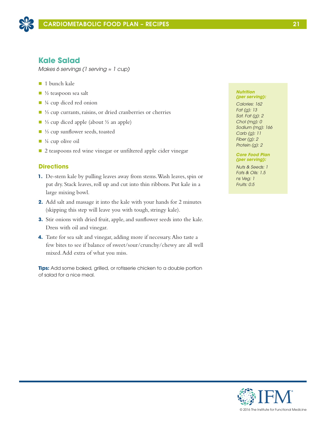

## **Kale Salad**

*Makes 6 servings (1 serving ≈ 1 cup)*

- $\blacksquare$  1 bunch kale
- $\blacksquare$  ½ teaspoon sea salt
- $\blacksquare$  ¼ cup diced red onion
- ⅓ cup currants, raisins, or dried cranberries or cherries
- <sup>1</sup>/<sub>3</sub> cup diced apple (about <sup>1</sup>/<sub>2</sub> an apple)
- ⅓ cup sunflower seeds, toasted
- $\blacksquare$  <sup>1</sup>/<sub>4</sub> cup olive oil
- 2 teaspoons red wine vinegar or unfiltered apple cider vinegar

## **Directions**

- **1.** De-stem kale by pulling leaves away from stems. Wash leaves, spin or pat dry. Stack leaves, roll up and cut into thin ribbons. Put kale in a large mixing bowl.
- **2.** Add salt and massage it into the kale with your hands for 2 minutes (skipping this step will leave you with tough, stringy kale).
- **3.** Stir onions with dried fruit, apple, and sunflower seeds into the kale. Dress with oil and vinegar.
- **4.** Taste for sea salt and vinegar, adding more if necessary. Also taste a few bites to see if balance of sweet/sour/crunchy/chewy are all well mixed. Add extra of what you miss.

**Tips:** Add some baked, grilled, or rotisserie chicken to a double portion of salad for a nice meal.

#### *Nutrition (per serving):*

*Calories: 162 Fat (g): 13 Sat. Fat (g): 2 Chol (mg): 0 Sodium (mg): 166 Carb (g): 11 Fiber (g): 2 Protein (g): 2*

### *Core Food Plan (per serving):*

*Nuts & Seeds: 1 Fats & Oils: 1.5 ns Veg: 1 Fruits: 0.5*



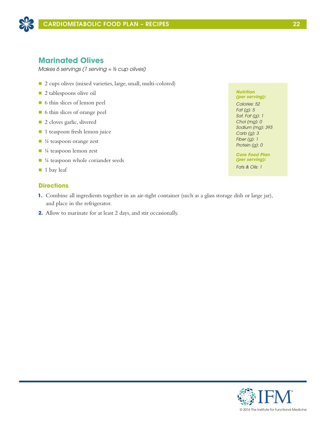

## **Marinated Olives**

*Makes 6 servings (1 serving ≈ ⅓ cup olives)*

- 2 cups olives (mixed varieties, large, small, multi-colored)
- **n** 2 tablespoons olive oil
- n 6 thin slices of lemon peel
- 6 thin slices of orange peel
- 2 cloves garlic, slivered
- 1 teaspoon fresh lemon juice
- $\blacksquare$  ¼ teaspoon orange zest
- $\blacksquare$  ¼ teaspoon lemon zest
- $\blacksquare$  ¼ teaspoon whole coriander seeds
- $\blacksquare$  1 bay leaf

### **Directions**

- **1.** Combine all ingredients together in an air-tight container (such as a glass storage dish or large jar), and place in the refrigerator.
- **2.** Allow to marinate for at least 2 days, and stir occasionally.

*Nutrition (per serving):*

*Calories: 52 Fat (g): 5 Sat. Fat (g): 1 Chol (mg): 0 Sodium (mg): 393 Carb (g): 3 Fiber (g): 1 Protein (g): 0*

*Core Food Plan (per serving): Fats & Oils: 1*

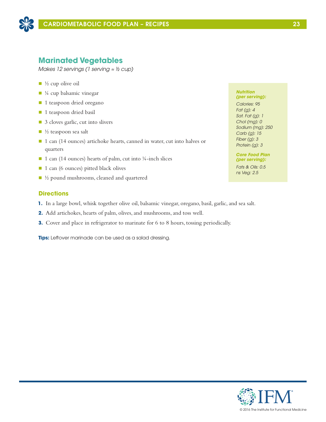

## **Marinated Vegetables**

*Makes 12 servings (1 serving ≈ ½ cup)*

- $\blacksquare$  ½ cup olive oil
- $\blacksquare$  ¼ cup balsamic vinegar
- 1 teaspoon dried oregano
- 1 teaspoon dried basil
- 3 cloves garlic, cut into slivers
- $\blacksquare$  ½ teaspoon sea salt
- 1 can (14 ounces) artichoke hearts, canned in water, cut into halves or quarters
- $\blacksquare$  1 can (14 ounces) hearts of palm, cut into ¼-inch slices
- 1 can (6 ounces) pitted black olives
- $\blacksquare$  ½ pound mushrooms, cleaned and quartered

## **Directions**

- **1.** In a large bowl, whisk together olive oil, balsamic vinegar, oregano, basil, garlic, and sea salt.
- **2.** Add artichokes, hearts of palm, olives, and mushrooms, and toss well.
- **3.** Cover and place in refrigerator to marinate for 6 to 8 hours, tossing periodically.

**Tips:** Leftover marinade can be used as a salad dressing.

#### *Nutrition (per serving):*

*Calories: 95 Fat (g): 4 Sat. Fat (g): 1 Chol (mg): 0 Sodium (mg): 250 Carb (g): 15 Fiber (g): 3 Protein (g): 3*

#### *Core Food Plan (per serving):*

*Fats & Oils: 0.5 ns Veg: 2.5*

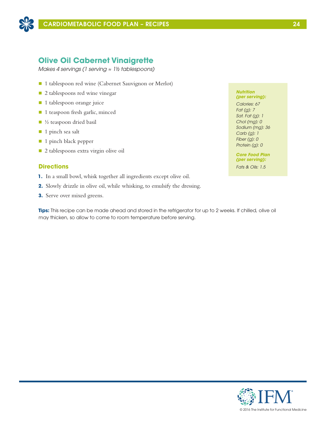

## **Olive Oil Cabernet Vinaigrette**

*Makes 4 servings (1 serving ≈ 1½ tablespoons)*

- 1 tablespoon red wine (Cabernet Sauvignon or Merlot)
- 2 tablespoons red wine vinegar
- 1 tablespoon orange juice
- 1 teaspoon fresh garlic, minced
- $\blacksquare$  ½ teaspoon dried basil
- 1 pinch sea salt
- 1 pinch black pepper
- n 2 tablespoons extra virgin olive oil

## **Directions**

- **1.** In a small bowl, whisk together all ingredients except olive oil.
- **2.** Slowly drizzle in olive oil, while whisking, to emulsify the dressing.
- **3.** Serve over mixed greens.

**Tips:** This recipe can be made ahead and stored in the refrigerator for up to 2 weeks. If chilled, olive oil may thicken, so allow to come to room temperature before serving.

#### *Nutrition (per serving):*

*Calories: 67 Fat (g): 7 Sat. Fat (g): 1 Chol (mg): 0 Sodium (mg): 36 Carb (g): 1 Fiber (g): 0 Protein (g): 0*

*Core Food Plan (per serving): Fats & Oils: 1.5* 

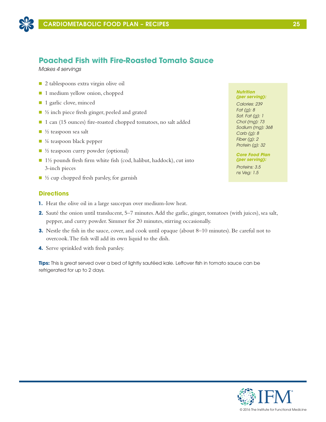

## **Poached Fish with Fire-Roasted Tomato Sauce**

*Makes 4 servings*

- 2 tablespoons extra virgin olive oil
- 1 medium yellow onion, chopped
- 1 garlic clove, minced
- $\blacksquare$  ½ inch piece fresh ginger, peeled and grated
- 1 can (15 ounces) fire-roasted chopped tomatoes, no salt added
- $\blacksquare$  ½ teaspoon sea salt
- $\blacksquare$  ¼ teaspoon black pepper
- $\blacksquare$  ½ teaspoon curry powder (optional)
- $\blacksquare$  1½ pounds fresh firm white fish (cod, halibut, haddock), cut into 3-inch pieces
- $\blacksquare$  ½ cup chopped fresh parsley, for garnish

## **Directions**

- **1.** Heat the olive oil in a large saucepan over medium-low heat.
- **2.** Sauté the onion until translucent, 5–7 minutes. Add the garlic, ginger, tomatoes (with juices), sea salt, pepper, and curry powder. Simmer for 20 minutes, stirring occasionally.
- **3.** Nestle the fish in the sauce, cover, and cook until opaque (about 8–10 minutes). Be careful not to overcook. The fish will add its own liquid to the dish.
- **4.** Serve sprinkled with fresh parsley.

**Tips:** This is great served over a bed of lightly sautéed kale. Leftover fish in tomato sauce can be refrigerated for up to 2 days.

### *Nutrition (per serving):*

*Calories: 239 Fat (g): 8 Sat. Fat (g): 1 Chol (mg): 73 Sodium (mg): 368 Carb (g): 8 Fiber (g): 2 Protein (g): 32*

#### *Core Food Plan (per serving):*

*Proteins: 3.5 ns Veg: 1.5*

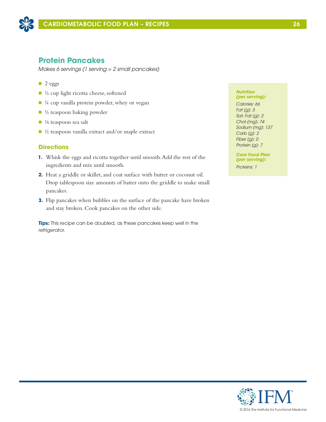

## **Protein Pancakes**

*Makes 6 servings (1 serving = 2 small pancakes)*

- $\Box$  2 eggs
- n ½ cup light ricotta cheese, softened
- $\blacksquare$  ¼ cup vanilla protein powder, whey or vegan
- $\blacksquare$  ½ teaspoon baking powder
- $\blacksquare$  1/8 teaspoon sea salt
- $\blacksquare$  ½ teaspoon vanilla extract and/or maple extract

### **Directions**

- **1.** Whisk the eggs and ricotta together until smooth. Add the rest of the ingredients and mix until smooth.
- **2.** Heat a griddle or skillet, and coat surface with butter or coconut oil. Drop tablespoon size amounts of batter onto the griddle to make small pancakes.
- **3.** Flip pancakes when bubbles on the surface of the pancake have broken and stay broken. Cook pancakes on the other side.

**Tips:** This recipe can be doubled, as these pancakes keep well in the refrigerator.

#### *Nutrition (per serving):*

*Calories: 66 Fat (g): 3 Sat. Fat (g): 2 Chol (mg): 74 Sodium (mg): 137 Carb (g): 2 Fiber (g): 0 Protein (g): 7*

*Core Food Plan (per serving): Proteins: 1*

© 2016 The Institute for Functional Medicine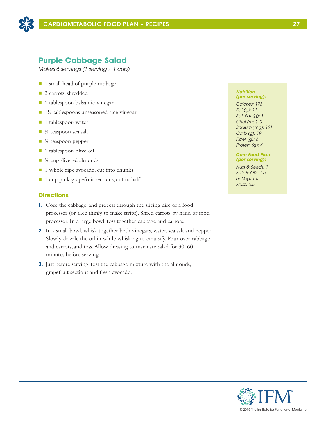

## **Purple Cabbage Salad**

*Makes 6 servings (1 serving ≈ 1 cup)*

- 1 small head of purple cabbage
- 3 carrots, shredded
- $\blacksquare$  1 tablespoon balsamic vinegar
- n 1½ tablespoons unseasoned rice vinegar
- **n** 1 tablespoon water
- $\blacksquare$  ¼ teaspoon sea salt
- $\blacksquare$  ¼ teaspoon pepper
- 1 tablespoon olive oil
- $\blacksquare$  <sup>1</sup>/<sub>4</sub> cup slivered almonds
- 1 whole ripe avocado, cut into chunks
- n 1 cup pink grapefruit sections, cut in half

## **Directions**

- **1.** Core the cabbage, and process through the slicing disc of a food processor (or slice thinly to make strips). Shred carrots by hand or food processor. In a large bowl, toss together cabbage and carrots.
- **2.** In a small bowl, whisk together both vinegars, water, sea salt and pepper. Slowly drizzle the oil in while whisking to emulsify. Pour over cabbage and carrots, and toss. Allow dressing to marinate salad for 30–60 minutes before serving.
- **3.** Just before serving, toss the cabbage mixture with the almonds, grapefruit sections and fresh avocado.

#### *Nutrition (per serving):*

*Calories: 176 Fat (g): 11 Sat. Fat (g): 1 Chol (mg): 0 Sodium (mg): 121 Carb (g): 19 Fiber (g): 6 Protein (g): 4*

### *Core Food Plan (per serving):*

*Nuts & Seeds: 1 Fats & Oils: 1.5 ns Veg: 1.5 Fruits: 0.5*



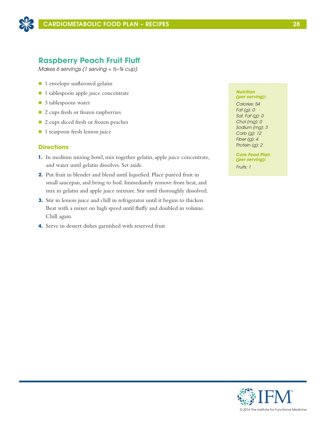

## **Raspberry Peach Fruit Fluff**

*Makes 6 servings (1 serving ≈ ½–¾ cup)*

- 1 envelope unflavored gelatin
- 1 tablespoon apple juice concentrate
- 3 tablespoons water
- 2 cups fresh or frozen raspberries
- 2 cups sliced fresh or frozen peaches
- 1 teaspoon fresh lemon juice

### **Directions**

- **1.** In medium mixing bowl, mix together gelatin, apple juice concentrate, and water until gelatin dissolves. Set aside.
- **2.** Put fruit in blender and blend until liquefied. Place puréed fruit in small saucepan, and bring to boil. Immediately remove from heat, and mix in gelatin and apple juice mixture. Stir until thoroughly dissolved.
- **3.** Stir in lemon juice and chill in refrigerator until it begins to thicken. Beat with a mixer on high speed until fluffy and doubled in volume. Chill again.
- **4.** Serve in dessert dishes garnished with reserved fruit

#### *Nutrition (per serving):*

*Calories: 54 Fat (g): 0 Sat. Fat (g): 0 Chol (mg): 0 Sodium (mg): 3 Carb (g): 12 Fiber (g): 4 Protein (g): 2*

*Core Food Plan (per serving): Fruits: 1*

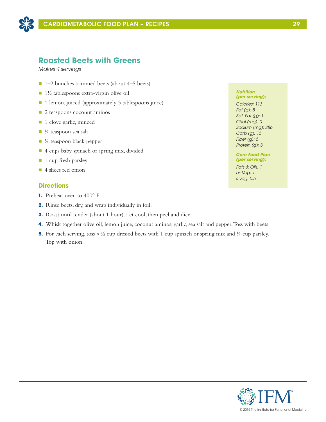

## **Roasted Beets with Greens**

*Makes 4 servings*

- $\blacksquare$  1–2 bunches trimmed beets (about 4–5 beets)
- $\blacksquare$  1½ tablespoons extra-virgin olive oil
- 1 lemon, juiced (approximately 3 tablespoons juice)
- 2 teaspoons coconut aminos
- 1 clove garlic, minced
- $\blacksquare$  ¼ teaspoon sea salt
- $\blacksquare$  ¼ teaspoon black pepper
- 4 cups baby spinach or spring mix, divided
- **1** cup fresh parsley
- 4 slices red onion

## **Directions**

- **1.** Preheat oven to 400° F.
- **2.** Rinse beets, dry, and wrap individually in foil.
- **3.** Roast until tender (about 1 hour). Let cool, then peel and dice.
- **4.** Whisk together olive oil, lemon juice, coconut aminos, garlic, sea salt and pepper. Toss with beets.
- **5.** For each serving, toss  $\approx \frac{1}{2}$  cup dressed beets with 1 cup spinach or spring mix and  $\frac{1}{4}$  cup parsley. Top with onion.

#### *Nutrition (per serving):*

*Calories: 113 Fat (g): 5 Sat. Fat (g): 1 Chol (mg): 0 Sodium (mg): 286 Carb (g): 15 Fiber (g): 5 Protein (g): 3*

### *Core Food Plan (per serving):*

*Fats & Oils: 1 ns Veg: 1 s Veg: 0.5*

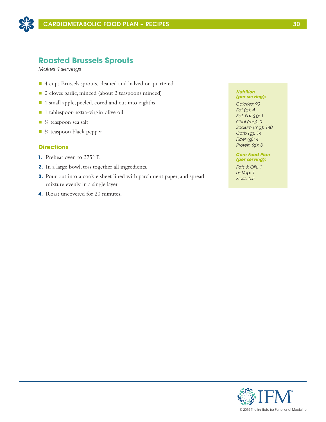

## **Roasted Brussels Sprouts**

*Makes 4 servings*

- n 4 cups Brussels sprouts, cleaned and halved or quartered
- 2 cloves garlic, minced (about 2 teaspoons minced)
- 1 small apple, peeled, cored and cut into eighths
- 1 tablespoon extra-virgin olive oil
- $\blacksquare$  ¼ teaspoon sea salt
- n ¼ teaspoon black pepper

### **Directions**

- **1.** Preheat oven to 375° F.
- **2.** In a large bowl, toss together all ingredients.
- **3.** Pour out into a cookie sheet lined with parchment paper, and spread mixture evenly in a single layer.
- **4.** Roast uncovered for 20 minutes.

#### *Nutrition (per serving):*

*Calories: 90 Fat (g): 4 Sat. Fat (g): 1 Chol (mg): 0 Sodium (mg): 140 Carb (g): 14 Fiber (g): 4 Protein (g): 3*

### *Core Food Plan (per serving):*

*Fats & Oils: 1 ns Veg: 1 Fruits: 0.5*

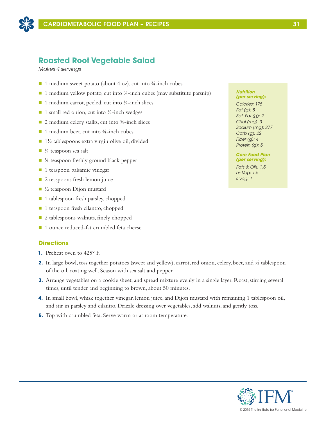

## **Roasted Root Vegetable Salad**

*Makes 4 servings*

- 1 medium sweet potato (about 4 oz), cut into  $\frac{3}{4}$ -inch cubes
- $\blacksquare$  1 medium yellow potato, cut into ¾-inch cubes (may substitute parsnip)
- 1 medium carrot, peeled, cut into ¾-inch slices
- $\blacksquare$  1 small red onion, cut into ½-inch wedges
- $\Box$  2 medium celery stalks, cut into  $\frac{3}{4}$ -inch slices
- $\blacksquare$  1 medium beet, cut into ¾-inch cubes
- $\blacksquare$  1½ tablespoons extra virgin olive oil, divided
- $\blacksquare$  ¼ teaspoon sea salt
- $\blacksquare$  ¼ teaspoon freshly ground black pepper
- $\blacksquare$  1 teaspoon balsamic vinegar
- $\Box$  2 teaspoons fresh lemon juice
- $\blacksquare$  ½ teaspoon Dijon mustard
- 1 tablespoon fresh parsley, chopped
- 1 teaspoon fresh cilantro, chopped
- 2 tablespoons walnuts, finely chopped
- 1 ounce reduced-fat crumbled feta cheese

### **Directions**

- **1.** Preheat oven to 425° F.
- **2.** In large bowl, toss together potatoes (sweet and yellow), carrot, red onion, celery, beet, and  $\frac{1}{2}$  tablespoon of the oil, coating well. Season with sea salt and pepper
- **3.** Arrange vegetables on a cookie sheet, and spread mixture evenly in a single layer. Roast, stirring several times, until tender and beginning to brown, about 50 minutes.
- **4.** In small bowl, whisk together vinegar, lemon juice, and Dijon mustard with remaining 1 tablespoon oil, and stir in parsley and cilantro. Drizzle dressing over vegetables, add walnuts, and gently toss.
- **5.** Top with crumbled feta. Serve warm or at room temperature.

#### *Nutrition (per serving):*

*Calories: 175 Fat (g): 8 Sat. Fat (g): 2 Chol (mg): 3 Sodium (mg): 277 Carb (g): 22 Fiber (g): 4 Protein (g): 5*

### *Core Food Plan (per serving):*

*Fats & Oils: 1.5 ns Veg: 1.5 s Veg: 1*

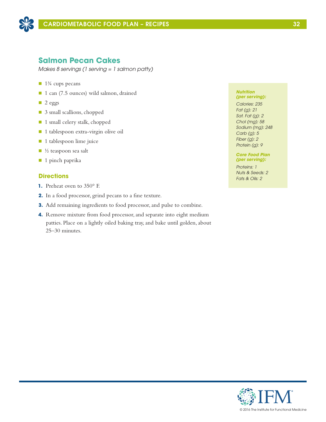

## **Salmon Pecan Cakes**

*Makes 8 servings (1 serving = 1 salmon patty)*

- $\blacksquare$  1¼ cups pecans
- 1 can (7.5 ounces) wild salmon, drained
- $\Box$  2 eggs
- 3 small scallions, chopped
- 1 small celery stalk, chopped
- 1 tablespoon extra-virgin olive oil
- **n** 1 tablespoon lime juice
- $\blacksquare$  ½ teaspoon sea salt
- $\blacksquare$  1 pinch paprika

## **Directions**

- **1.** Preheat oven to 350° F.
- **2.** In a food processor, grind pecans to a fine texture.
- **3.** Add remaining ingredients to food processor, and pulse to combine.
- **4.** Remove mixture from food processor, and separate into eight medium patties. Place on a lightly oiled baking tray, and bake until golden, about 25–30 minutes.

#### *Nutrition (per serving):*

*Calories: 235 Fat (g): 21 Sat. Fat (g): 2 Chol (mg): 58 Sodium (mg): 248 Carb (g): 5 Fiber (g): 2 Protein (g): 9*

### *Core Food Plan (per serving):*

*Proteins: 1 Nuts & Seeds: 2 Fats & Oils: 2*

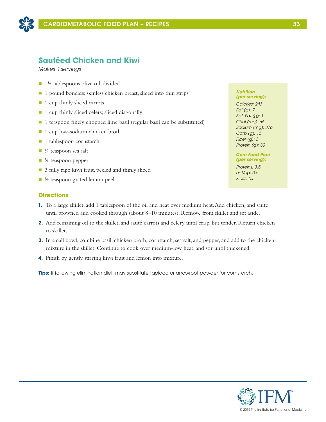

## **Sautéed Chicken and Kiwi**

*Makes 4 servings*

- $\blacksquare$  1½ tablespoons olive oil, divided
- 1 pound boneless skinless chicken breast, sliced into thin strips
- 1 cup thinly sliced carrots
- $\blacksquare$  1 cup thinly sliced celery, sliced diagonally
- 1 teaspoon finely chopped lime basil (regular basil can be substituted)
- 1 cup low-sodium chicken broth
- 1 tablespoon cornstarch
- $\blacksquare$  ¼ teaspoon sea salt
- $\blacksquare$  ¼ teaspoon pepper
- 3 fully ripe kiwi fruit, peeled and thinly sliced
- $\blacksquare$  ½ teaspoon grated lemon peel

## **Directions**

- **1.** To a large skillet, add 1 tablespoon of the oil and heat over medium heat. Add chicken, and sauté until browned and cooked through (about 8–10 minutes). Remove from skillet and set aside.
- **2.** Add remaining oil to the skillet, and sauté carrots and celery until crisp, but tender. Return chicken to skillet.
- **3.** In small bowl, combine basil, chicken broth, cornstarch, sea salt, and pepper, and add to the chicken mixture in the skillet. Continue to cook over medium-low heat, and stir until thickened.
- **4.** Finish by gently stirring kiwi fruit and lemon into mixture.

**Tips:** If following elimination diet, may substitute tapioca or arrowroot powder for cornstarch.

## *Nutrition*

*(per serving): Calories: 243 Fat (g): 7 Sat. Fat (g): 1 Chol (mg): 66 Sodium (mg): 376 Carb (g): 15 Fiber (g): 3 Protein (g): 30*

### *Core Food Plan (per serving):*

*Proteins: 3.5 ns Veg: 0.5 Fruits: 0.5*

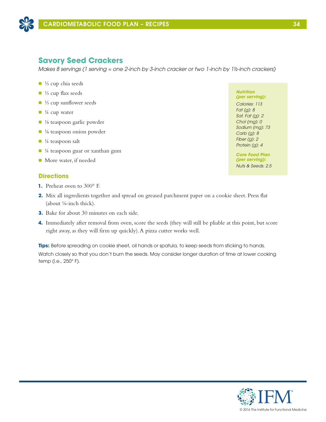

## **Savory Seed Crackers**

*Makes 8 servings (1 serving ≈ one 2-inch by 3-inch cracker or two 1-inch by 1½-inch crackers)*

- $\blacksquare$  ¼ cup chia seeds
- <sup>1</sup>/<sub>3</sub> cup flax seeds
- $\blacksquare$  ¼ cup sunflower seeds
- $\blacksquare$  <sup>1</sup>/<sub>4</sub> cup water
- ⅓ teaspoon garlic powder
- $\blacksquare$  <sup>1</sup>/<sub>8</sub> teaspoon onion powder
- $\blacksquare$  ¼ teaspoon salt
- $\blacksquare$  ¼ teaspoon guar or xanthan gum
- More water, if needed

## **Directions**

- **1.** Preheat oven to 300° F.
- **2.** Mix all ingredients together and spread on greased parchment paper on a cookie sheet. Press flat (about ⅛-inch thick).
- **3.** Bake for about 30 minutes on each side.
- **4.** Immediately after removal from oven, score the seeds (they will still be pliable at this point, but score right away, as they will firm up quickly). A pizza cutter works well.

**Tips:** Before spreading on cookie sheet, oil hands or spatula, to keep seeds from sticking to hands. Watch closely so that you don't burn the seeds. May consider longer duration of time at lower cooking temp (i.e., 250° F).

*Nutrition (per serving): Calories: 113 Fat (g): 8 Sat. Fat (g): 2 Chol (mg): 0 Sodium (mg): 73 Carb (g): 8 Fiber (g): 2 Protein (g): 4*

*Core Food Plan (per serving): Nuts & Seeds: 2.5*

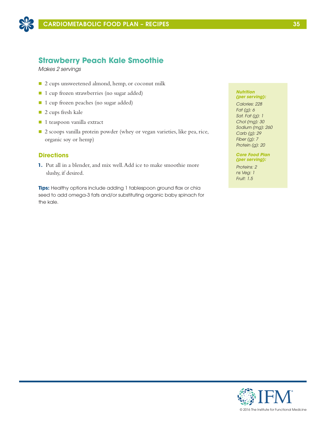

## **Strawberry Peach Kale Smoothie**

*Makes 2 servings*

- 2 cups unsweetened almond, hemp, or coconut milk
- 1 cup frozen strawberries (no sugar added)
- 1 cup frozen peaches (no sugar added)
- 2 cups fresh kale
- 1 teaspoon vanilla extract
- 2 scoops vanilla protein powder (whey or vegan varieties, like pea, rice, organic soy or hemp)

## **Directions**

**1.** Put all in a blender, and mix well. Add ice to make smoothie more slushy, if desired.

**Tips:** Healthy options include adding 1 tablespoon ground flax or chia seed to add omega-3 fats and/or substituting organic baby spinach for the kale.

#### *Nutrition (per serving):*

*Calories: 228 Fat (g): 6 Sat. Fat (g): 1 Chol (mg): 30 Sodium (mg): 260 Carb (g): 29 Fiber (g): 7 Protein (g): 20*

### *Core Food Plan (per serving):*

*Proteins: 2 ns Veg: 1 Fruit: 1.5*

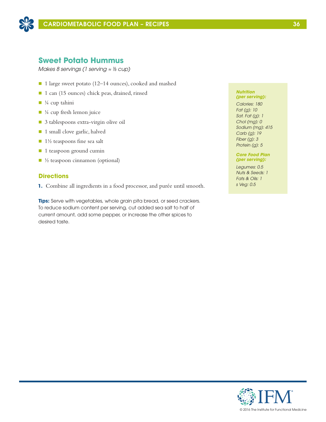

## **Sweet Potato Hummus**

*Makes 8 servings (1 serving ≈ ⅓ cup)*

- 1 large sweet potato (12–14 ounces), cooked and mashed
- 1 can (15 ounces) chick peas, drained, rinsed
- $\blacksquare$  ¼ cup tahini
- $\blacksquare$  ¼ cup fresh lemon juice
- 3 tablespoons extra-virgin olive oil
- 1 small clove garlic, halved
- $\blacksquare$  1½ teaspoons fine sea salt
- 1 teaspoon ground cumin
- $\blacksquare$  ½ teaspoon cinnamon (optional)

## **Directions**

**1.** Combine all ingredients in a food processor, and purée until smooth.

**Tips:** Serve with vegetables, whole grain pita bread, or seed crackers. To reduce sodium content per serving, cut added sea salt to half of current amount, add some pepper, or increase the other spices to desired taste.

#### *Nutrition (per serving):*

*Calories: 180 Fat (g): 10 Sat. Fat (g): 1 Chol (mg): 0 Sodium (mg): 415 Carb (g): 19 Fiber (g): 3 Protein (g): 5*

### *Core Food Plan (per serving):*

*Legumes: 0.5 Nuts & Seeds: 1 Fats & Oils: 1 s Veg: 0.5*

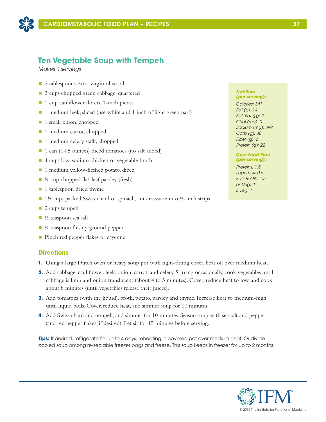

## **Ten Vegetable Soup with Tempeh**

*Makes 4 servings*

- $\Box$  2 tablespoons extra virgin olive oil
- 3 cups chopped green cabbage, quartered
- $\blacksquare$  1 cup cauliflower florets, 1-inch pieces
- 1 medium leek, sliced (use white and 1 inch of light green part)
- 1 small onion, chopped
- 1 medium carrot, chopped
- 1 medium celery stalk, chopped
- 1 can (14.5 ounces) diced tomatoes (no salt added)
- 4 cups low-sodium chicken or vegetable broth
- 1 medium yellow-fleshed potato, diced
- $\blacksquare$  ¼ cup chopped flat-leaf parsley (fresh)
- 1 tablespoon dried thyme
- $\blacksquare$  1½ cups packed Swiss chard or spinach, cut crosswise into ½-inch strips
- $\blacksquare$  2 cups tempeh
- $\blacksquare$  ½ teaspoon sea salt
- $\blacksquare$  ¼ teaspoon freshly ground pepper
- Pinch red pepper flakes or cayenne

### **Directions**

- **1.** Using a large Dutch oven or heavy soup pot with tight-fitting cover, heat oil over medium heat.
- **2.** Add cabbage, cauliflower, leek, onion, carrot, and celery. Stirring occasionally, cook vegetables until cabbage is limp and onion translucent (about 4 to 5 minutes). Cover, reduce heat to low, and cook about 8 minutes (until vegetables release their juices).
- **3.** Add tomatoes (with the liquid), broth, potato, parsley and thyme. Increase heat to medium-high until liquid boils. Cover, reduce heat, and simmer soup for 10 minutes.
- **4.** Add Swiss chard and tempeh, and simmer for 10 minutes. Season soup with sea salt and pepper (and red pepper flakes, if desired). Let sit for 15 minutes before serving.

**Tips:** If desired, refrigerate for up to 4 days, reheating in covered pot over medium heat. Or divide cooled soup among re-sealable freezer bags and freeze. This soup keeps in freezer for up to 2 months.

#### *Nutrition (per serving):*

*Calories: 341 Fat (g): 14 Sat. Fat (g): 2 Chol (mg): 0 Sodium (mg): 399 Carb (g): 38 Fiber (g): 6 Protein (g): 22*

### *Core Food Plan (per serving):*

*Proteins: 1.5 Legumes: 0.5 Fats & Oils: 1.5 ns Veg: 3 s Veg: 1*

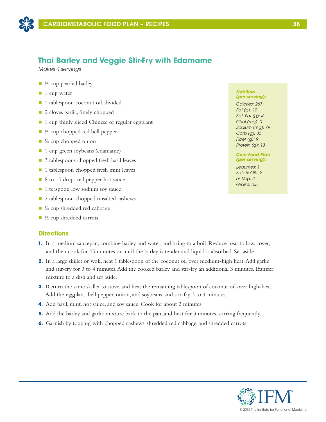

## **Thai Barley and Veggie Stir-Fry with Edamame**

*Makes 4 servings*

- $\blacksquare$  <sup>1</sup>/<sub>2</sub> cup pearled barley
- $\blacksquare$  1 cup water
- 1 tablespoon coconut oil, divided
- 2 cloves garlic, finely chopped
- 1 cup thinly sliced Chinese or regular eggplant
- $\blacksquare$  ½ cup chopped red bell pepper
- $\blacksquare$  ½ cup chopped onion
- $\blacksquare$  1 cup green soybeans (edamame)
- 3 tablespoons chopped fresh basil leaves
- $\blacksquare$  1 tablespoon chopped fresh mint leaves
- 8 to 10 drops red pepper hot sauce
- 1 teaspoon low sodium soy sauce
- 2 tablespoon chopped unsalted cashews
- $\blacksquare$  ½ cup shredded red cabbage
- $\blacksquare$  ½ cup shredded carrots

### **Directions**

- **1.** In a medium saucepan, combine barley and water, and bring to a boil. Reduce heat to low, cover, and then cook for 45 minutes or until the barley is tender and liquid is absorbed. Set aside.
- **2.** In a large skillet or wok, heat 1 tablespoon of the coconut oil over medium-high heat. Add garlic and stir-fry for 3 to 4 minutes. Add the cooked barley and stir-fry an additional 3 minutes. Transfer mixture to a dish and set aside.
- **3.** Return the same skillet to stove, and heat the remaining tablespoon of coconut oil over high-heat. Add the eggplant, bell pepper, onion, and soybeans, and stir-fry 3 to 4 minutes.
- **4.** Add basil, mint, hot sauce, and soy sauce. Cook for about 2 minutes.
- **5.** Add the barley and garlic mixture back to the pan, and heat for 3 minutes, stirring frequently.
- **6.** Garnish by topping with chopped cashews, shredded red cabbage, and shredded carrots.

#### *Nutrition (per serving):*

*Calories: 267 Fat (g): 10 Sat. Fat (g): 4 Chol (mg): 0 Sodium (mg): 79 Carb (g): 35 Fiber (g): 9 Protein (g): 13*

*Core Food Plan (per serving):*

*Legumes: 1 Fats & Oils: 2 ns Veg: 2 Grains: 0.5*